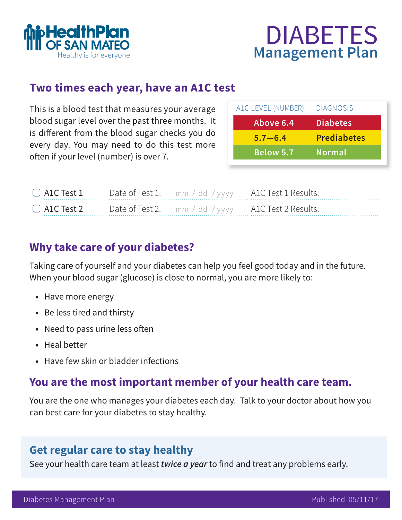



### **Two times each year, have an A1C test**

This is a blood test that measures your average blood sugar level over the past three months. It is different from the blood sugar checks you do every day. You may need to do this test more often if your level (number) is over 7.

| A1C LEVEL (NUMBER) | <b>DIAGNOSIS</b>   |
|--------------------|--------------------|
| Above 6.4          | <b>Diabetes</b>    |
| $5.7 - 6.4$        | <b>Prediabetes</b> |
| <b>Below 5.7</b>   | <b>Normal</b>      |

| $\Box$ ALC Test $\Box$ |  | Date of Test 1: mm / dd / yyyy A1C Test 1 Results: |
|------------------------|--|----------------------------------------------------|
| $\Box$ ALC Test 2      |  | Date of Test 2: mm / dd / yyyy A1C Test 2 Results: |

## **Why take care of your diabetes?**

Taking care of yourself and your diabetes can help you feel good today and in the future. When your blood sugar (glucose) is close to normal, you are more likely to:

- **•** Have more energy
- **•** Be less tired and thirsty
- **•** Need to pass urine less often
- **•** Heal better
- **•** Have few skin or bladder infections

### **You are the most important member of your health care team.**

You are the one who manages your diabetes each day. Talk to your doctor about how you can best care for your diabetes to stay healthy.

## **Get regular care to stay healthy**

See your health care team at least *twice a year* to find and treat any problems early.